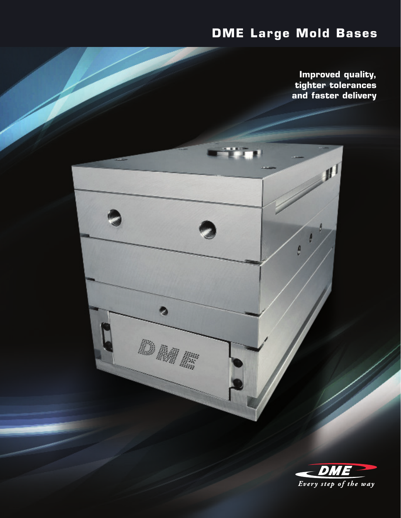# **DME Large Mold Bases**

ri i pr

ð

**Improved quality, tighter tolerances and faster delivery**

A

 $\theta$ 

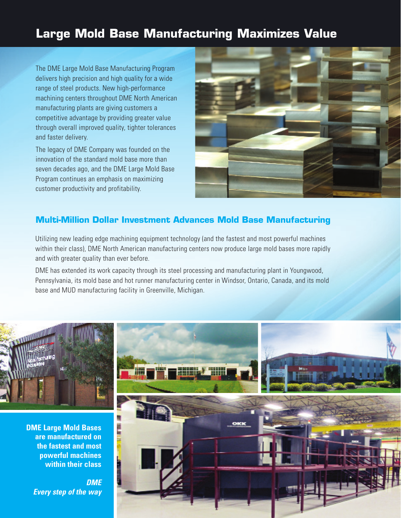## **Large Mold Base Manufacturing Maximizes Value**

The DME Large Mold Base Manufacturing Program delivers high precision and high quality for a wide range of steel products. New high-performance machining centers throughout DME North American manufacturing plants are giving customers a competitive advantage by providing greater value through overall improved quality, tighter tolerances and faster delivery.

The legacy of DME Company was founded on the innovation of the standard mold base more than seven decades ago, and the DME Large Mold Base Program continues an emphasis on maximizing customer productivity and profitability.



### **Multi-Million Dollar Investment Advances Mold Base Manufacturing**

Utilizing new leading edge machining equipment technology (and the fastest and most powerful machines within their class), DME North American manufacturing centers now produce large mold bases more rapidly and with greater quality than ever before.

DME has extended its work capacity through its steel processing and manufacturing plant in Youngwood, Pennsylvania, its mold base and hot runner manufacturing center in Windsor, Ontario, Canada, and its mold base and MUD manufacturing facility in Greenville, Michigan.

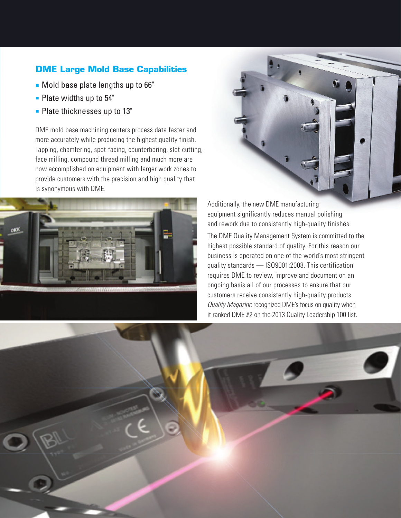## **DME Large Mold Base Capabilities**

- **n** Mold base plate lengths up to 66"
- $\blacksquare$  Plate widths up to 54"
- **Plate thicknesses up to 13"**

DME mold base machining centers process data faster and more accurately while producing the highest quality finish. Tapping, chamfering, spot-facing, counterboring, slot-cutting, face milling, compound thread milling and much more are now accomplished on equipment with larger work zones to provide customers with the precision and high quality that is synonymous with DME.





Additionally, the new DME manufacturing equipment significantly reduces manual polishing and rework due to consistently high-quality finishes.

The DME Quality Management System is committed to the highest possible standard of quality. For this reason our business is operated on one of the world's most stringent quality standards — ISO9001:2008. This certification requires DME to review, improve and document on an ongoing basis all of our processes to ensure that our customers receive consistently high-quality products. *Quality Magazine* recognized DME's focus on quality when it ranked DME #2 on the 2013 Quality Leadership 100 list.